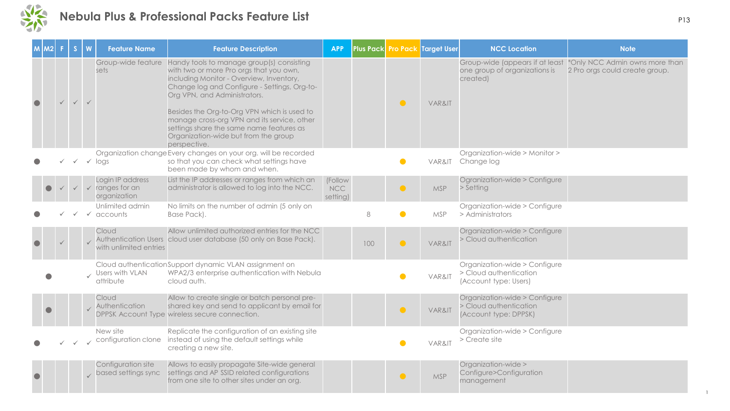

|  |              |              | <b>Feature Name</b>                                            | <b>Feature Description</b>                                                                                                                                                                                                                                                                                                                                                                                         | <b>APP</b>                        |     |           | Plus Pack Pro Pack Target User | <b>NCC Location</b>                                                              | <b>Note</b>                                                      |
|--|--------------|--------------|----------------------------------------------------------------|--------------------------------------------------------------------------------------------------------------------------------------------------------------------------------------------------------------------------------------------------------------------------------------------------------------------------------------------------------------------------------------------------------------------|-----------------------------------|-----|-----------|--------------------------------|----------------------------------------------------------------------------------|------------------------------------------------------------------|
|  |              |              | Group-wide feature<br>sets                                     | Handy tools to manage group(s) consisting<br>with two or more Pro orgs that you own,<br>including Monitor - Overview, Inventory,<br>Change log and Configure - Settings, Org-to-<br>Org VPN, and Administrators.<br>Besides the Org-to-Org VPN which is used to<br>manage cross-org VPN and its service, other<br>settings share the same name features as<br>Organization-wide but from the group<br>perspective. |                                   |     | $\bullet$ | VAR&IT                         | Group-wide (appears if at least<br>one group of organizations is<br>created)     | *Only NCC Admin owns more than<br>2 Pro orgs could create group. |
|  | $\checkmark$ |              | $\sqrt{10}$                                                    | Organization change Every changes on your org. will be recorded<br>so that you can check what settings have<br>been made by whom and when.                                                                                                                                                                                                                                                                         |                                   |     |           | VAR&IT                         | Organization-wide > Monitor ><br>Change log                                      |                                                                  |
|  |              |              | Login IP address<br>$\checkmark$ ranges for an<br>organization | List the IP addresses or ranges from which an<br>administrator is allowed to log into the NCC.                                                                                                                                                                                                                                                                                                                     | (Follow<br><b>NCC</b><br>setting) |     | $\bullet$ | <b>MSP</b>                     | Ogranization-wide > Configure<br>> Setting                                       |                                                                  |
|  |              | $\checkmark$ | Unlimited admin<br>accounts                                    | No limits on the number of admin (5 only on<br>Base Pack).                                                                                                                                                                                                                                                                                                                                                         |                                   | 8   |           | <b>MSP</b>                     | Organization-wide > Configure<br>> Administrators                                |                                                                  |
|  |              |              | Cloud<br>with unlimited entries                                | Allow unlimited authorized entries for the NCC<br>Authentication Users cloud user database (50 only on Base Pack).                                                                                                                                                                                                                                                                                                 |                                   | 100 | $\bullet$ | VAR&IT                         | Organization-wide > Configure<br>> Cloud authentication                          |                                                                  |
|  |              |              | Users with VLAN<br>attribute                                   | Cloud authentication Support dynamic VLAN assignment on<br>WPA2/3 enterprise authentication with Nebula<br>cloud auth.                                                                                                                                                                                                                                                                                             |                                   |     |           | VAR&IT                         | Organization-wide > Configure<br>> Cloud authentication<br>(Account type: Users) |                                                                  |
|  |              |              | Cloud<br>Authentication                                        | Allow to create single or batch personal pre-<br>shared key and send to applicant by email for<br>DPPSK Account Type wireless secure connection.                                                                                                                                                                                                                                                                   |                                   |     | $\bullet$ | VAR&IT                         | Organization-wide > Configure<br>> Cloud authentication<br>(Account type: DPPSK) |                                                                  |
|  |              |              | New site<br>configuration clone                                | Replicate the configuration of an existing site<br>instead of using the default settings while<br>creating a new site.                                                                                                                                                                                                                                                                                             |                                   |     |           | VAR&IT                         | Organization-wide > Configure<br>$>$ Create site                                 |                                                                  |
|  |              |              | Configuration site<br>based settings sync                      | Allows to easily propagate Site-wide general<br>settings and AP SSID related configurations<br>from one site to other sites under an org.                                                                                                                                                                                                                                                                          |                                   |     | $\bullet$ | <b>MSP</b>                     | Organization-wide ><br>Configure>Configuration<br>management                     |                                                                  |

1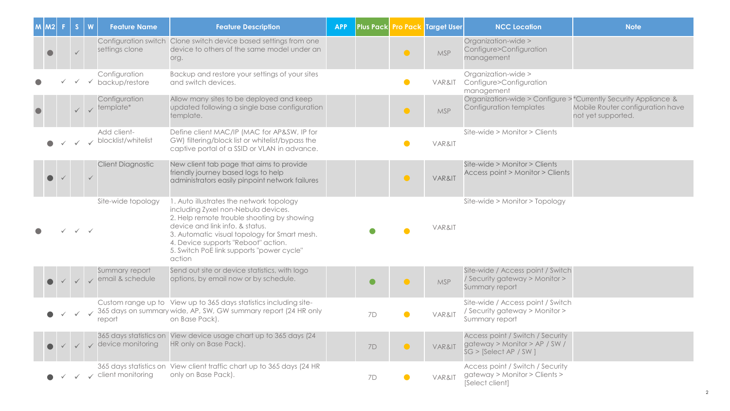| $M$ $ M2 $ | S            | W                         | <b>Feature Name</b>                          | <b>Feature Description</b>                                                                                                                                                                                                                                                                                     | <b>APP</b> |           |           | Plus Pack Pro Pack Target User | <b>NCC Location</b>                                                                           | <b>Note</b>                                            |
|------------|--------------|---------------------------|----------------------------------------------|----------------------------------------------------------------------------------------------------------------------------------------------------------------------------------------------------------------------------------------------------------------------------------------------------------------|------------|-----------|-----------|--------------------------------|-----------------------------------------------------------------------------------------------|--------------------------------------------------------|
|            |              |                           | settings clone                               | Configuration switch Clone switch device based settings from one<br>device to others of the same model under an<br>org.                                                                                                                                                                                        |            |           | $\bullet$ | <b>MSP</b>                     | Organization-wide ><br>Configure>Configuration<br>management                                  |                                                        |
|            |              |                           | Configuration<br>$\checkmark$ backup/restore | Backup and restore your settings of your sites<br>and switch devices.                                                                                                                                                                                                                                          |            |           | $\bullet$ | VAR&IT                         | Organization-wide ><br>Configure>Configuration<br>management                                  |                                                        |
|            | $\checkmark$ |                           | Configuration<br>$\sqrt{\ }$ template*       | Allow many sites to be deployed and keep<br>updated following a single base configuration<br>template.                                                                                                                                                                                                         |            |           | $\bullet$ | <b>MSP</b>                     | Organization-wide > Configure >*Currently Security Appliance &<br>Configuration templates     | Mobile Router configuration have<br>not yet supported. |
|            |              |                           | Add client-<br>blocklist/whitelist           | Define client MAC/IP (MAC for AP&SW, IP for<br>GW) filtering/block list or whitelist/bypass the<br>captive portal of a SSID or VLAN in advance.                                                                                                                                                                |            |           |           | VAR&IT                         | Site-wide > Monitor > Clients                                                                 |                                                        |
|            |              |                           | <b>Client Diagnostic</b>                     | New client tab page that aims to provide<br>friendly journey based logs to help<br>administrators easily pinpoint network failures                                                                                                                                                                             |            |           | $\bullet$ | VAR&IT                         | Site-wide > Monitor > Clients<br>Access point > Monitor > Clients                             |                                                        |
|            |              | $\checkmark$ $\checkmark$ | Site-wide topology                           | 1. Auto illustrates the network topology<br>including Zyxel non-Nebula devices.<br>2. Help remote trouble shooting by showing<br>device and link info. & status.<br>3. Automatic visual topology for Smart mesh.<br>4. Device supports "Reboot" action.<br>5. Switch PoE link supports "power cycle"<br>action |            |           |           | VAR&IT                         | Site-wide > Monitor > Topology                                                                |                                                        |
|            |              |                           | Summary report<br>email & schedule           | Send out site or device statistics, with logo<br>options, by email now or by schedule.                                                                                                                                                                                                                         |            | $\bullet$ | $\bullet$ | <b>MSP</b>                     | Site-wide / Access point / Switch<br>/ Security gateway > Monitor ><br>Summary report         |                                                        |
|            |              |                           | report                                       | Custom range up to View up to 365 days statistics including site-<br>365 days on summary wide, AP, SW, GW summary report (24 HR only<br>on Base Pack).                                                                                                                                                         |            | <b>7D</b> | $\bullet$ | VAR&IT                         | Site-wide / Access point / Switch<br>/ Security gateway > Monitor ><br>Summary report         |                                                        |
|            |              |                           | device monitoring                            | 365 days statistics on View device usage chart up to 365 days (24<br>HR only on Base Pack).                                                                                                                                                                                                                    |            | 7D        | $\bullet$ | VAR&IT                         | Access point / Switch / Security<br>gateway > Monitor > AP / SW /<br>$SG >$ [Select AP / SW ] |                                                        |
|            |              |                           | client monitoring                            | 365 days statistics on View client traffic chart up to 365 days (24 HR<br>only on Base Pack).                                                                                                                                                                                                                  |            | 7D        |           | VAR&IT                         | Access point / Switch / Security<br>gateway > Monitor > Clients ><br>[Select client]          |                                                        |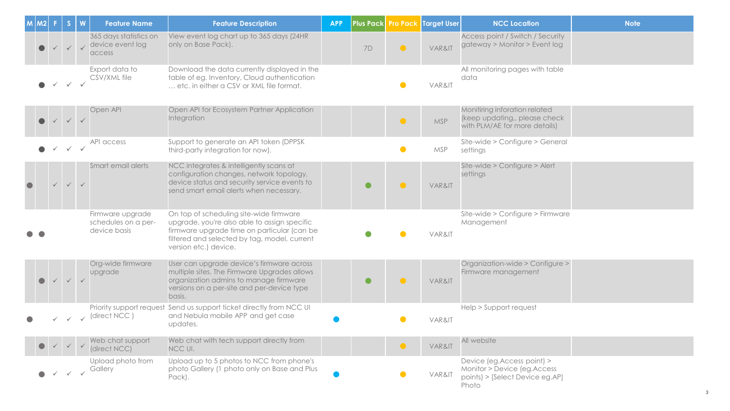| M <sub>2</sub> |              |              | <b>Feature Name</b>                                     | <b>Feature Description</b>                                                                                                                                                                                      | <b>APP</b> |           |           | Plus Pack Pro Pack Target User | <b>NCC Location</b>                                                                                   | <b>Note</b> |
|----------------|--------------|--------------|---------------------------------------------------------|-----------------------------------------------------------------------------------------------------------------------------------------------------------------------------------------------------------------|------------|-----------|-----------|--------------------------------|-------------------------------------------------------------------------------------------------------|-------------|
|                |              |              | 365 days statistics on<br>device event log<br>access    | View event log chart up to 365 days (24HR<br>only on Base Pack).                                                                                                                                                |            | 7D        | $\bullet$ | VAR&IT                         | Access point / Switch / Security<br>gateway > Monitor > Event log                                     |             |
|                |              |              | Export data to<br>CSV/XML file                          | Download the data currently displayed in the<br>table of eg. Inventory, Cloud authentication<br>etc. in either a CSV or XML file format.                                                                        |            |           |           | VAR&IT                         | All monitoring pages with table<br>data                                                               |             |
|                |              |              | Open API                                                | Open API for Ecosystem Partner Application<br>Integration                                                                                                                                                       |            |           | $\bullet$ | <b>MSP</b>                     | Monitiring inforation related<br>(keep updating,, please check<br>with PLM/AE for more details)       |             |
|                | $\checkmark$ | $\checkmark$ | API access                                              | Support to generate an API token (DPPSK<br>third-party integration for now).                                                                                                                                    |            |           | $\bullet$ | <b>MSP</b>                     | Site-wide > Configure > General<br>settings                                                           |             |
|                |              |              | Smart email alerts                                      | NCC integrates & intelligently scans at<br>configuration changes, network topology,<br>device status and security service events to<br>send smart email alerts when necessary.                                  |            | $\bullet$ | $\bullet$ | VAR&IT                         | Site-wide > Configure > Alert<br>settings                                                             |             |
|                |              |              | Firmware upgrade<br>schedules on a per-<br>device basis | On top of scheduling site-wide firmware<br>upgrade, you're also able to assign specific<br>firmware upgrade time on particular (can be<br>filtered and selected by tag, model, current<br>version etc.) device. |            |           |           | VAR&IT                         | Site-wide > Configure > Firmware<br>Management                                                        |             |
|                |              |              | Org-wide firmware<br>upgrade                            | User can upgrade device's firmware across<br>multiple sites. The Firmware Upgrades allows<br>organization admins to manage firmware<br>versions on a per-site and per-device type<br>basis.                     |            | $\bullet$ | $\bullet$ | VAR&IT                         | Organization-wide > Configure ><br>Firmware management                                                |             |
|                |              |              | (direct NCC)                                            | Priority support request Send us support ticket directly from NCC UI<br>and Nebula mobile APP and get case<br>updates.                                                                                          |            |           |           | VAR&IT                         | Help > Support request                                                                                |             |
|                |              |              | Web chat support<br>(direct NCC)                        | Web chat with tech support directly from<br>NCC UI.                                                                                                                                                             |            |           | $\bullet$ | VAR&IT                         | All website                                                                                           |             |
|                |              |              | Upload photo from<br>Gallery                            | Upload up to 5 photos to NCC from phone's<br>photo Gallery (1 photo only on Base and Plus<br>Pack).                                                                                                             |            |           |           | VAR&IT                         | Device (eg.Access point) ><br>Monitor > Device (eg.Access<br>points) > [Select Device eg.AP]<br>Photo |             |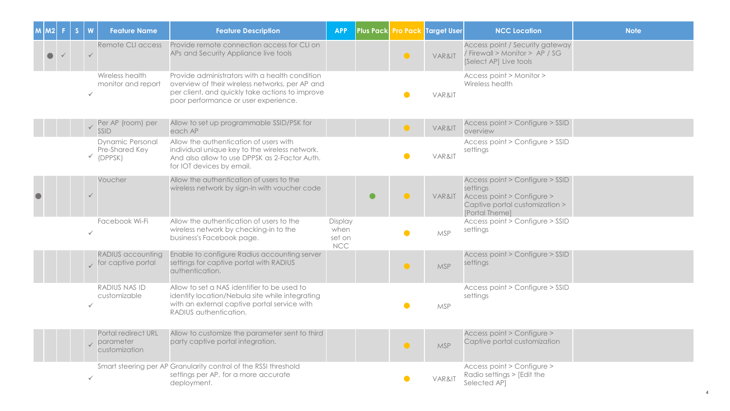| IM2I | W            | <b>Feature Name</b>                                      | <b>Feature Description</b>                                                                                                                                                                   | <b>APP</b>                              |           |           | Plus Pack Pro Pack Target User | <b>NCC Location</b>                                                                                                           | <b>Note</b> |
|------|--------------|----------------------------------------------------------|----------------------------------------------------------------------------------------------------------------------------------------------------------------------------------------------|-----------------------------------------|-----------|-----------|--------------------------------|-------------------------------------------------------------------------------------------------------------------------------|-------------|
|      |              | Remote CLI access                                        | Provide remote connection access for CLI on<br>APs and Security Appliance live tools                                                                                                         |                                         |           | $\bullet$ | VAR&IT                         | Access point / Security gateway<br>/ Firewall > Monitor > AP / SG<br>[Select AP] Live tools                                   |             |
|      | $\checkmark$ | Wireless health<br>monitor and report                    | Provide administrators with a health condition<br>overview of their wireless networks, per AP and<br>per client, and quickly take actions to improve<br>poor performance or user experience. |                                         |           | $\bullet$ | VAR&IT                         | Access point > Monitor ><br>Wireless health                                                                                   |             |
|      | $\checkmark$ | Per AP (room) per<br>SSID                                | Allow to set up programmable SSID/PSK for<br>each AP                                                                                                                                         |                                         |           |           | VAR&IT                         | Access point > Configure > SSID<br>overview                                                                                   |             |
|      |              | <b>Dynamic Personal</b><br>Pre-Shared Key<br>$V$ (DPPSK) | Allow the authentication of users with<br>individual unique key to the wireless network.<br>And also allow to use DPPSK as 2-Factor Auth.<br>for IOT devices by email.                       |                                         |           |           | VAR&IT                         | Access point > Configure > SSID<br>settings                                                                                   |             |
|      |              | Voucher                                                  | Allow the authentication of users to the<br>wireless network by sign-in with voucher code                                                                                                    |                                         | $\bullet$ | $\bullet$ | VAR&IT                         | Access point > Configure > SSID<br>settings<br>Access point > Configure ><br>Captive portal customization ><br>[Portal Theme] |             |
|      | $\checkmark$ | Facebook Wi-Fi                                           | Allow the authentication of users to the<br>wireless network by checking-in to the<br>business's Facebook page.                                                                              | Display<br>when<br>set on<br><b>NCC</b> |           | $\bullet$ | <b>MSP</b>                     | Access point > Configure > SSID<br>settings                                                                                   |             |
|      |              | RADIUS accounting<br>$\chi$ for captive portal           | Enable to configure Radius accounting server<br>settings for captive portal with RADIUS<br>authentication.                                                                                   |                                         |           | $\bullet$ | <b>MSP</b>                     | Access point > Configure > SSID<br>settings                                                                                   |             |
|      |              | RADIUS NAS ID<br>customizable                            | Allow to set a NAS identifier to be used to<br>identify location/Nebula site while integrating<br>with an external captive portal service with<br>RADIUS authentication.                     |                                         |           | $\bullet$ | <b>MSP</b>                     | Access point > Configure > SSID<br>settings                                                                                   |             |
|      |              | Portal redirect URL<br>parameter<br>customization        | Allow to customize the parameter sent to third<br>party captive portal integration.                                                                                                          |                                         |           | $\bullet$ | <b>MSP</b>                     | Access point > Configure ><br>Captive portal customization                                                                    |             |
|      |              |                                                          | Smart steering per AP Granularity control of the RSSI threshold<br>settings per AP, for a more accurate<br>deployment.                                                                       |                                         |           |           | VAR&IT                         | Access point > Configure ><br>Radio settings > [Edit the<br>Selected AP]                                                      |             |

4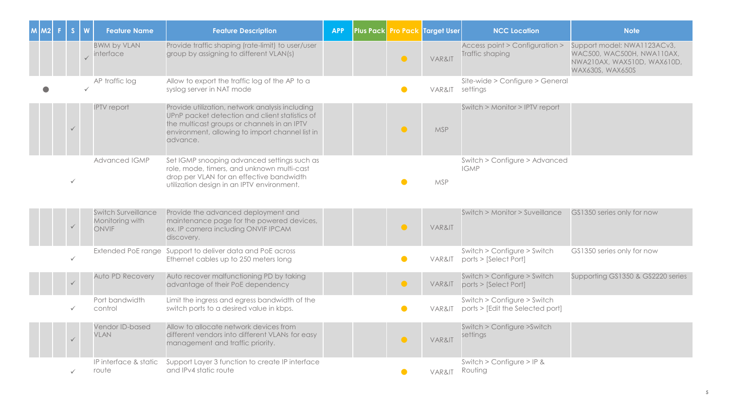| M | $ M2 $ F | S            | $\boldsymbol{\mathsf{W}}$ | <b>Feature Name</b>                                           | <b>Feature Description</b>                                                                                                                                                                                      | <b>APP</b> | <b>Plus Pack Pro Pack</b> | Target User | <b>NCC Location</b>                                             | <b>Note</b>                                                                                                  |
|---|----------|--------------|---------------------------|---------------------------------------------------------------|-----------------------------------------------------------------------------------------------------------------------------------------------------------------------------------------------------------------|------------|---------------------------|-------------|-----------------------------------------------------------------|--------------------------------------------------------------------------------------------------------------|
|   |          |              |                           | <b>BWM by VLAN</b><br>interface                               | Provide traffic shaping (rate-limit) to user/user<br>group by assigning to different VLAN(s)                                                                                                                    |            | $\bullet$                 | VAR&IT      | Access point > Configuration ><br>Traffic shaping               | Support model: NWA1123ACv3,<br>WAC500, WAC500H, NWA110AX,<br>NWA210AX, WAX510D, WAX610D,<br>WAX630S, WAX650S |
|   |          |              | $\checkmark$              | AP traffic log                                                | Allow to export the traffic log of the AP to a<br>syslog server in NAT mode                                                                                                                                     |            | $\bullet$                 | VAR&IT      | Site-wide > Configure > General<br>settings                     |                                                                                                              |
|   |          | $\checkmark$ |                           | <b>IPTV</b> report                                            | Provide utilization, network analysis including<br>UPnP packet detection and client statistics of<br>the multicast groups or channels in an IPTV<br>environment, allowing to import channel list in<br>advance. |            | $\bullet$                 | <b>MSP</b>  | Switch > Monitor > IPTV report                                  |                                                                                                              |
|   |          |              |                           | <b>Advanced IGMP</b>                                          | Set IGMP snooping advanced settings such as<br>role, mode, timers, and unknown multi-cast<br>drop per VLAN for an effective bandwidth<br>utilization design in an IPTV environment.                             |            |                           | <b>MSP</b>  | Switch > Configure > Advanced<br><b>IGMP</b>                    |                                                                                                              |
|   |          | $\checkmark$ |                           | <b>Switch Surveillance</b><br>Monitoring with<br><b>ONVIF</b> | Provide the advanced deployment and<br>maintenance page for the powered devices,<br>ex. IP camera including ONVIF IPCAM<br>discovery.                                                                           |            | $\bullet$                 | VAR&IT      | Switch > Monitor > Suveillance                                  | GS1350 series only for now                                                                                   |
|   |          |              |                           | Extended PoE range                                            | Support to deliver data and PoE across<br>Ethernet cables up to 250 meters long                                                                                                                                 |            | $\bullet$                 | VAR&IT      | Switch > Configure > Switch<br>ports > [Select Port]            | GS1350 series only for now                                                                                   |
|   |          |              |                           | Auto PD Recovery                                              | Auto recover malfunctioning PD by taking<br>advantage of their PoE dependency                                                                                                                                   |            | $\bullet$                 | VAR&IT      | Switch > Configure > Switch<br>ports > [Select Port]            | Supporting GS1350 & GS2220 series                                                                            |
|   |          | $\checkmark$ |                           | Port bandwidth<br>control                                     | Limit the ingress and egress bandwidth of the<br>switch ports to a desired value in kbps.                                                                                                                       |            | $\bullet$                 | VAR&IT      | Switch > Configure > Switch<br>ports > [Edit the Selected port] |                                                                                                              |
|   |          |              |                           | Vendor ID-based<br><b>VLAN</b>                                | Allow to allocate network devices from<br>different vendors into different VLANs for easy<br>management and traffic priority.                                                                                   |            | $\bullet$                 | VAR&IT      | Switch > Configure > Switch<br>settings                         |                                                                                                              |
|   |          | $\checkmark$ |                           | IP interface & static<br>route                                | Support Layer 3 function to create IP interface<br>and IPv4 static route                                                                                                                                        |            | $\bullet$                 | VAR&IT      | Switch > Configure > IP &<br>Routing                            |                                                                                                              |